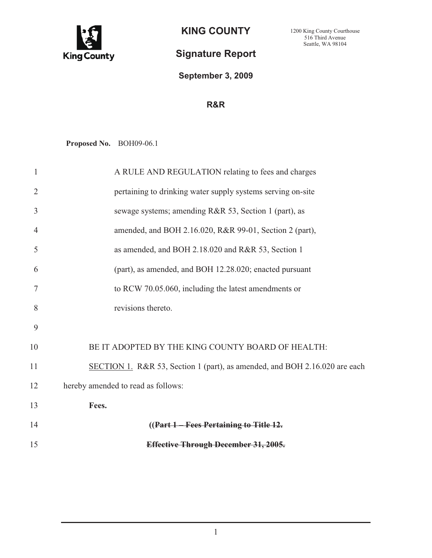

**KING COUNTY** 

## **Signature Report**

## **September 3, 2009**

## **R&R**

**Proposed No.** BOH09-06.1

| $\mathbf{1}$   | A RULE AND REGULATION relating to fees and charges                         |
|----------------|----------------------------------------------------------------------------|
| $\overline{2}$ | pertaining to drinking water supply systems serving on-site                |
| 3              | sewage systems; amending R&R 53, Section 1 (part), as                      |
| $\overline{4}$ | amended, and BOH 2.16.020, R&R 99-01, Section 2 (part),                    |
| 5              | as amended, and BOH 2.18.020 and R&R 53, Section 1                         |
| 6              | (part), as amended, and BOH 12.28.020; enacted pursuant                    |
| 7              | to RCW 70.05.060, including the latest amendments or                       |
| 8              | revisions thereto.                                                         |
| 9              |                                                                            |
| 10             | BE IT ADOPTED BY THE KING COUNTY BOARD OF HEALTH:                          |
| 11             | SECTION 1. R&R 53, Section 1 (part), as amended, and BOH 2.16.020 are each |
| 12             | hereby amended to read as follows:                                         |
| 13             | Fees.                                                                      |
| 14             | ((Part 1 – Fees Pertaining to Title 12.                                    |
| 15             | <b>Effective Through December 31, 2005.</b>                                |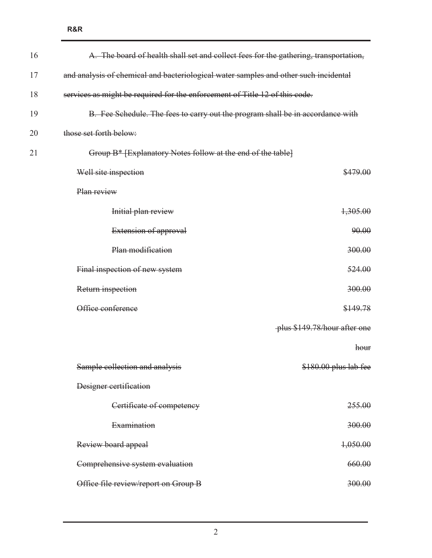| 16 | A. The board of health shall set and collect fees for the gathering, transportation, |                              |
|----|--------------------------------------------------------------------------------------|------------------------------|
| 17 | and analysis of chemical and bacteriological water samples and other such incidental |                              |
| 18 | services as might be required for the enforcement of Title 12 of this code.          |                              |
| 19 | B. Fee Schedule. The fees to carry out the program shall be in accordance with       |                              |
| 20 | those set forth below:                                                               |                              |
| 21 | Group B* [Explanatory Notes follow at the end of the table]                          |                              |
|    | Well site inspection                                                                 | \$479.00                     |
|    | Plan review                                                                          |                              |
|    | Initial plan review                                                                  | 1,305.00                     |
|    | Extension of approval                                                                | 90.00                        |
|    | Plan modification                                                                    | 300.00                       |
|    | Final inspection of new system                                                       | 524.00                       |
|    | Return inspection                                                                    | 300.00                       |
|    | Office conference                                                                    | \$149.78                     |
|    |                                                                                      | plus \$149.78/hour after one |
|    |                                                                                      | hour                         |
|    | Sample collection and analysis                                                       | \$180.00 plus lab fee        |
|    | Designer certification                                                               |                              |
|    | Certificate of competency                                                            | 255.00                       |
|    | Examination                                                                          | 300.00                       |
|    | Review board appeal                                                                  | 1,050.00                     |
|    | Comprehensive system evaluation                                                      | 660.00                       |
|    | Office file review/report on Group B                                                 | 300.00                       |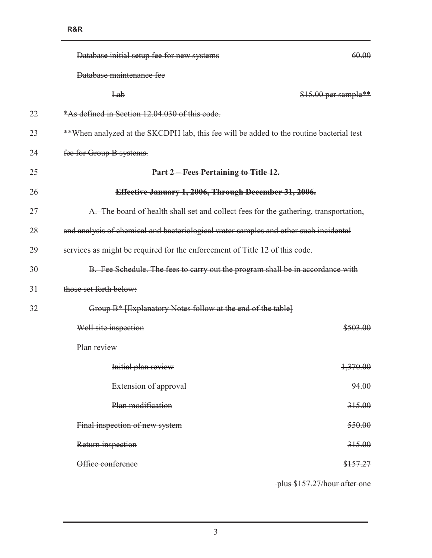|    | Database initial setup fee for new systems                                              | 60.00                |
|----|-----------------------------------------------------------------------------------------|----------------------|
|    | Database maintenance fee                                                                |                      |
|    | Lab                                                                                     | \$15.00 per sample** |
| 22 | *As defined in Section 12.04.030 of this code.                                          |                      |
| 23 | **When analyzed at the SKCDPH lab, this fee will be added to the routine bacterial test |                      |
| 24 | fee for Group B systems.                                                                |                      |
| 25 | Part 2 - Fees Pertaining to Title 12.                                                   |                      |
| 26 | Effective January 1, 2006, Through December 31, 2006.                                   |                      |
| 27 | A. The board of health shall set and collect fees for the gathering, transportation,    |                      |
| 28 | and analysis of chemical and bacteriological water samples and other such incidental    |                      |
| 29 | services as might be required for the enforcement of Title 12 of this code.             |                      |
| 30 | B. Fee Schedule. The fees to carry out the program shall be in accordance with          |                      |
| 31 | those set forth below:                                                                  |                      |
| 32 | Group B* [Explanatory Notes follow at the end of the table]                             |                      |
|    | Well site inspection                                                                    | \$503.00             |
|    | Plan review                                                                             |                      |
|    | Initial plan review                                                                     | 1,370.00             |
|    | Extension of approval                                                                   | 94.00                |
|    | Plan modification                                                                       | 315.00               |
|    | Final inspection of new system                                                          | 550.00               |
|    | Return inspection                                                                       | 315.00               |
|    | Office conference                                                                       | \$157.27             |
|    |                                                                                         |                      |

plus \$157.27/hour after one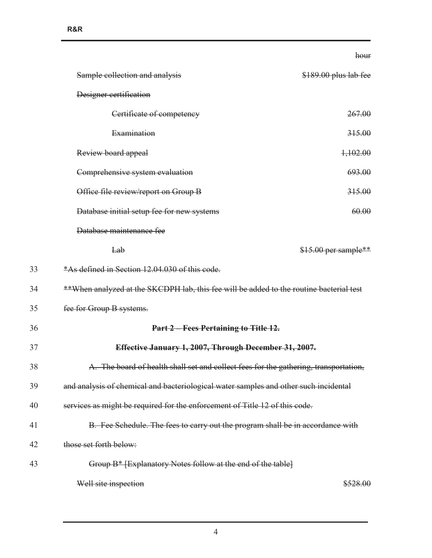|    |                                                                                         | hour                  |
|----|-----------------------------------------------------------------------------------------|-----------------------|
|    | Sample collection and analysis                                                          | \$189.00 plus lab fee |
|    | Designer certification                                                                  |                       |
|    | Certificate of competency                                                               | 267.00                |
|    | Examination                                                                             | 315.00                |
|    | Review board appeal                                                                     | 1,102.00              |
|    | Comprehensive system evaluation                                                         | 693.00                |
|    | Office file review/report on Group B                                                    | 315.00                |
|    | Database initial setup fee for new systems                                              | 60.00                 |
|    | Database maintenance fee                                                                |                       |
|    | Lab                                                                                     | \$15.00 per sample**  |
| 33 | *As defined in Section 12.04.030 of this code.                                          |                       |
| 34 | **When analyzed at the SKCDPH lab, this fee will be added to the routine bacterial test |                       |
| 35 | fee for Group B systems.                                                                |                       |
| 36 | Part 2 - Fees Pertaining to Title 12.                                                   |                       |
| 37 | Effective January 1, 2007, Through December 31, 2007.                                   |                       |
| 38 | The board of health shall set and collect fees for the gathering, transportation,       |                       |
| 39 | and analysis of chemical and bacteriological water samples and other such incidental    |                       |
| 40 | services as might be required for the enforcement of Title 12 of this code.             |                       |
| 41 | B. Fee Schedule. The fees to carry out the program shall be in accordance with          |                       |
| 42 | those set forth below:                                                                  |                       |
| 43 | Group B* [Explanatory Notes follow at the end of the table]                             |                       |
|    | Well site inspection                                                                    | \$528.00              |

4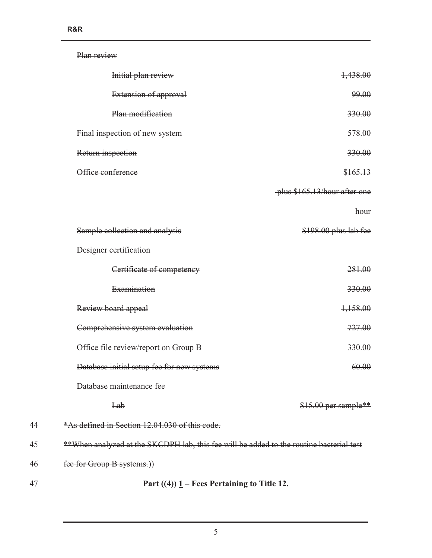|    | Plan review                                                                             |                              |
|----|-----------------------------------------------------------------------------------------|------------------------------|
|    | Initial plan review                                                                     | 1,438.00                     |
|    | Extension of approval                                                                   | 99.00                        |
|    | Plan modification                                                                       | 330.00                       |
|    | Final inspection of new system                                                          | 578.00                       |
|    | Return inspection                                                                       | 330.00                       |
|    | Office conference                                                                       | \$165.13                     |
|    |                                                                                         | plus \$165.13/hour after one |
|    |                                                                                         | hour                         |
|    | Sample collection and analysis                                                          | \$198.00 plus lab fee        |
|    | Designer certification                                                                  |                              |
|    | Certificate of competency                                                               | 281.00                       |
|    | Examination                                                                             | 330.00                       |
|    | Review board appeal                                                                     | 1,158.00                     |
|    | Comprehensive system evaluation                                                         | 727.00                       |
|    | Office file review/report on Group B                                                    | 330.00                       |
|    | Database initial setup fee for new systems                                              | 60.00                        |
|    | Database maintenance fee                                                                |                              |
|    | Lab                                                                                     | $$15.00$ per sample**        |
| 44 | *As defined in Section 12,04,030 of this code.                                          |                              |
| 45 | **When analyzed at the SKCDPH lab, this fee will be added to the routine bacterial test |                              |
| 46 | fee for Group B systems.))                                                              |                              |
| 47 | Part $((4))$ $1$ – Fees Pertaining to Title 12.                                         |                              |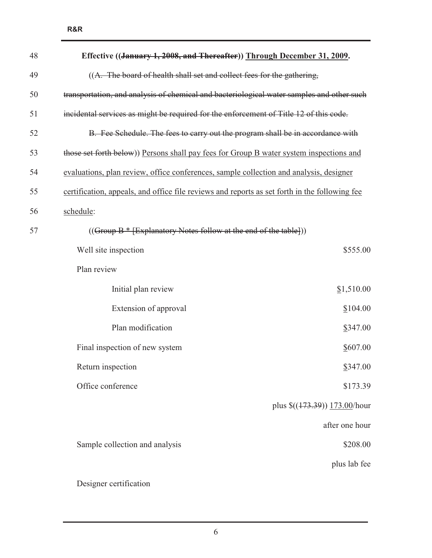| 48 | Effective ((January 1, 2008, and Thereafter)) Through December 31, 2009.                      |                                                               |
|----|-----------------------------------------------------------------------------------------------|---------------------------------------------------------------|
| 49 | ((A. The board of health shall set and collect fees for the gathering,                        |                                                               |
| 50 | transportation, and analysis of chemical and bacteriological water samples and other such     |                                                               |
| 51 | incidental services as might be required for the enforcement of Title 12 of this code.        |                                                               |
| 52 | B. Fee Schedule. The fees to carry out the program shall be in accordance with                |                                                               |
| 53 | those set forth below)) Persons shall pay fees for Group B water system inspections and       |                                                               |
| 54 | evaluations, plan review, office conferences, sample collection and analysis, designer        |                                                               |
| 55 | certification, appeals, and office file reviews and reports as set forth in the following fee |                                                               |
| 56 | schedule:                                                                                     |                                                               |
| 57 | $((Group B * [Explanatory Notes follow at the end of the table]))$                            |                                                               |
|    | Well site inspection                                                                          | \$555.00                                                      |
|    | Plan review                                                                                   |                                                               |
|    | Initial plan review                                                                           | \$1,510.00                                                    |
|    | Extension of approval                                                                         | \$104.00                                                      |
|    | Plan modification                                                                             | \$347.00                                                      |
|    | Final inspection of new system                                                                | \$607.00                                                      |
|    | Return inspection                                                                             | \$347.00                                                      |
|    | Office conference                                                                             | \$173.39                                                      |
|    |                                                                                               | plus $\frac{\left(\frac{173.39}{173.00}\right)}{173.00}$ hour |
|    |                                                                                               | after one hour                                                |
|    | Sample collection and analysis                                                                | \$208.00                                                      |
|    |                                                                                               | plus lab fee                                                  |
|    | Designer certification                                                                        |                                                               |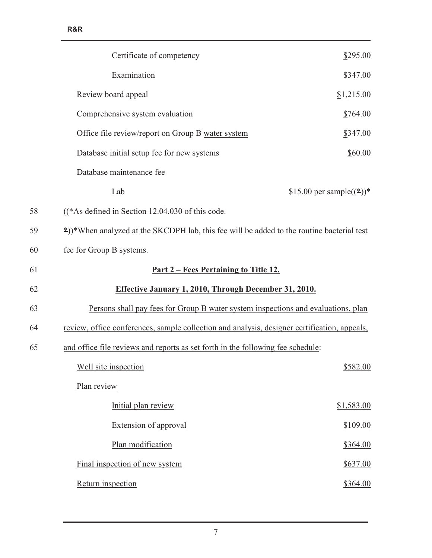| \$295.00                                                                                     |
|----------------------------------------------------------------------------------------------|
| \$347.00                                                                                     |
| \$1,215.00                                                                                   |
| \$764.00                                                                                     |
| \$347.00                                                                                     |
| \$60.00                                                                                      |
|                                                                                              |
| \$15.00 per sample( $(\frac{*}{*})$ )*                                                       |
|                                                                                              |
| *))*When analyzed at the SKCDPH lab, this fee will be added to the routine bacterial test    |
|                                                                                              |
| <u>Part 2 – Fees Pertaining to Title 12.</u>                                                 |
| <b>Effective January 1, 2010, Through December 31, 2010.</b>                                 |
| Persons shall pay fees for Group B water system inspections and evaluations, plan            |
| review, office conferences, sample collection and analysis, designer certification, appeals, |
| and office file reviews and reports as set forth in the following fee schedule:              |
| \$582.00                                                                                     |
|                                                                                              |
| \$1,583.00                                                                                   |
| \$109.00                                                                                     |
| \$364.00                                                                                     |
| \$637.00                                                                                     |
| \$364.00                                                                                     |
|                                                                                              |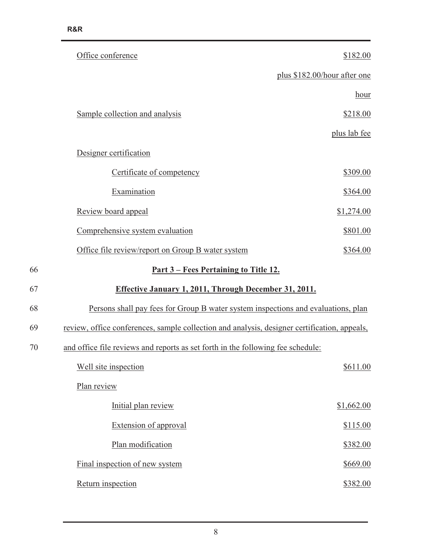| Office conference                                                                            | \$182.00                     |
|----------------------------------------------------------------------------------------------|------------------------------|
|                                                                                              | plus \$182.00/hour after one |
|                                                                                              | hour                         |
| Sample collection and analysis                                                               | \$218.00                     |
|                                                                                              | plus lab fee                 |
| Designer certification                                                                       |                              |
| Certificate of competency                                                                    | \$309.00                     |
| Examination                                                                                  | \$364.00                     |
| Review board appeal                                                                          | \$1,274.00                   |
| Comprehensive system evaluation                                                              | \$801.00                     |
| Office file review/report on Group B water system                                            | \$364.00                     |
| <u>Part 3 – Fees Pertaining to Title 12.</u>                                                 |                              |
| Effective January 1, 2011, Through December 31, 2011.                                        |                              |
| Persons shall pay fees for Group B water system inspections and evaluations, plan            |                              |
| review, office conferences, sample collection and analysis, designer certification, appeals, |                              |
| and office file reviews and reports as set forth in the following fee schedule:              |                              |
| Well site inspection                                                                         | \$611.00                     |
| Plan review                                                                                  |                              |
| Initial plan review                                                                          | \$1,662.00                   |
| <b>Extension of approval</b>                                                                 | \$115.00                     |
| Plan modification                                                                            | \$382.00                     |
| Final inspection of new system                                                               | \$669.00                     |
| Return inspection                                                                            | \$382.00                     |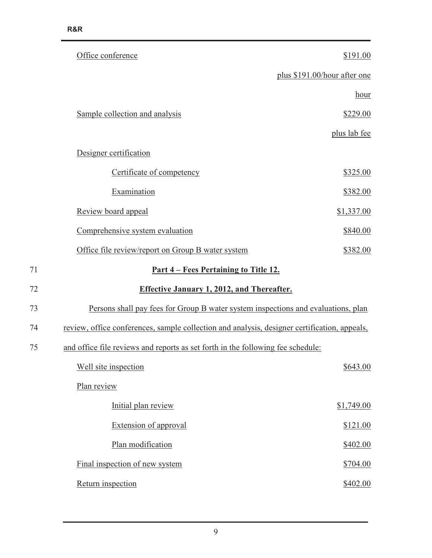| Office conference                                                                            | \$191.00                     |
|----------------------------------------------------------------------------------------------|------------------------------|
|                                                                                              | plus \$191.00/hour after one |
|                                                                                              | hour                         |
| Sample collection and analysis                                                               | \$229.00                     |
|                                                                                              | plus lab fee                 |
| Designer certification                                                                       |                              |
| Certificate of competency                                                                    | \$325.00                     |
| Examination                                                                                  | \$382.00                     |
| Review board appeal                                                                          | \$1,337.00                   |
| Comprehensive system evaluation                                                              | \$840.00                     |
| Office file review/report on Group B water system                                            | \$382.00                     |
| <u>Part 4 – Fees Pertaining to Title 12.</u>                                                 |                              |
| <b>Effective January 1, 2012, and Thereafter.</b>                                            |                              |
| Persons shall pay fees for Group B water system inspections and evaluations, plan            |                              |
| review, office conferences, sample collection and analysis, designer certification, appeals, |                              |
| and office file reviews and reports as set forth in the following fee schedule:              |                              |
| Well site inspection                                                                         | \$643.00                     |
| Plan review                                                                                  |                              |
| Initial plan review                                                                          | \$1,749.00                   |
| <b>Extension of approval</b>                                                                 | \$121.00                     |
| Plan modification                                                                            | \$402.00                     |
| Final inspection of new system                                                               | \$704.00                     |
| Return inspection                                                                            | \$402.00                     |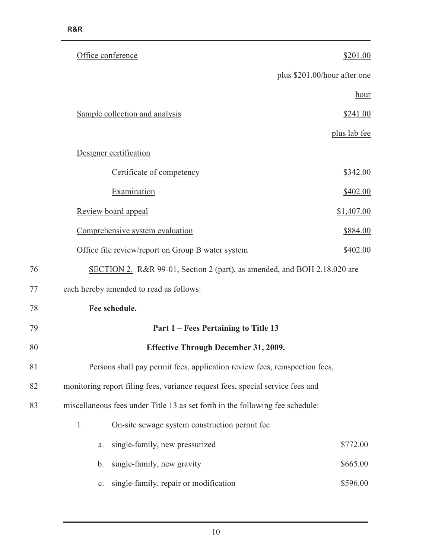|    | Office conference                                                              | \$201.00     |
|----|--------------------------------------------------------------------------------|--------------|
|    | plus \$201.00/hour after one                                                   |              |
|    |                                                                                | hour         |
|    | Sample collection and analysis                                                 | \$241.00     |
|    |                                                                                | plus lab fee |
|    | Designer certification                                                         |              |
|    | Certificate of competency                                                      | \$342.00     |
|    | Examination                                                                    | \$402.00     |
|    | Review board appeal                                                            | \$1,407.00   |
|    | Comprehensive system evaluation                                                | \$884.00     |
|    | Office file review/report on Group B water system                              | \$402.00     |
| 76 | SECTION 2. R&R 99-01, Section 2 (part), as amended, and BOH 2.18.020 are       |              |
| 77 | each hereby amended to read as follows:                                        |              |
| 78 | Fee schedule.                                                                  |              |
| 79 | Part 1 – Fees Pertaining to Title 13                                           |              |
| 80 | <b>Effective Through December 31, 2009.</b>                                    |              |
| 81 | Persons shall pay permit fees, application review fees, reinspection fees,     |              |
| 82 | monitoring report filing fees, variance request fees, special service fees and |              |
| 83 | miscellaneous fees under Title 13 as set forth in the following fee schedule:  |              |
|    | 1.<br>On-site sewage system construction permit fee                            |              |
|    | single-family, new pressurized<br>a.                                           | \$772.00     |
|    | single-family, new gravity<br>b.                                               | \$665.00     |
|    | single-family, repair or modification<br>$\mathbf{c}$ .                        | \$596.00     |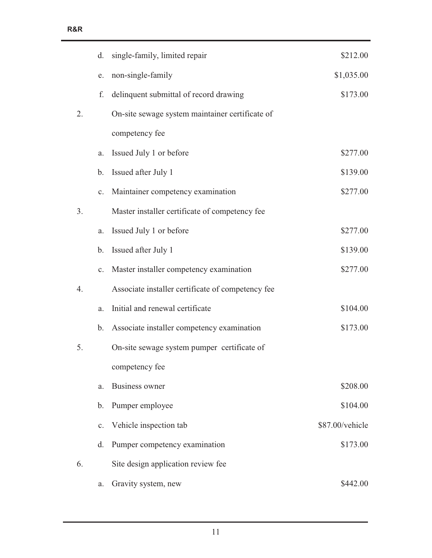|    | d.            | single-family, limited repair                     | \$212.00        |
|----|---------------|---------------------------------------------------|-----------------|
|    | e.            | non-single-family                                 | \$1,035.00      |
|    | f.            | delinquent submittal of record drawing            | \$173.00        |
| 2. |               | On-site sewage system maintainer certificate of   |                 |
|    |               | competency fee                                    |                 |
|    | a.            | Issued July 1 or before                           | \$277.00        |
|    | $\mathbf b$ . | Issued after July 1                               | \$139.00        |
|    | c.            | Maintainer competency examination                 | \$277.00        |
| 3. |               | Master installer certificate of competency fee    |                 |
|    | a.            | Issued July 1 or before                           | \$277.00        |
|    | $\mathbf b$ . | Issued after July 1                               | \$139.00        |
|    | c.            | Master installer competency examination           | \$277.00        |
| 4. |               | Associate installer certificate of competency fee |                 |
|    | a.            | Initial and renewal certificate                   | \$104.00        |
|    | $\mathbf b$ . | Associate installer competency examination        | \$173.00        |
| 5. |               | On-site sewage system pumper certificate of       |                 |
|    |               | competency fee                                    |                 |
|    | a.            | <b>Business owner</b>                             | \$208.00        |
|    | b.            | Pumper employee                                   | \$104.00        |
|    | c.            | Vehicle inspection tab                            | \$87.00/vehicle |
|    | d.            | Pumper competency examination                     | \$173.00        |
| 6. |               | Site design application review fee                |                 |
|    | a.            | Gravity system, new                               | \$442.00        |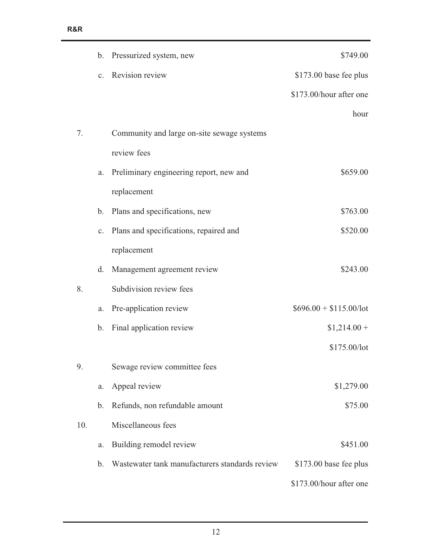|     |               | b. Pressurized system, new                     | \$749.00                |
|-----|---------------|------------------------------------------------|-------------------------|
|     |               | c. Revision review                             | \$173.00 base fee plus  |
|     |               |                                                | \$173.00/hour after one |
|     |               |                                                | hour                    |
| 7.  |               | Community and large on-site sewage systems     |                         |
|     |               | review fees                                    |                         |
|     | a.            | Preliminary engineering report, new and        | \$659.00                |
|     |               | replacement                                    |                         |
|     | $\mathbf b$ . | Plans and specifications, new                  | \$763.00                |
|     | c.            | Plans and specifications, repaired and         | \$520.00                |
|     |               | replacement                                    |                         |
|     | d.            | Management agreement review                    | \$243.00                |
| 8.  |               | Subdivision review fees                        |                         |
|     | a.            | Pre-application review                         | $$696.00 + $115.00/lot$ |
|     | b.            | Final application review                       | $$1,214.00+$            |
|     |               |                                                | \$175.00/lot            |
| 9.  |               | Sewage review committee fees                   |                         |
|     | a.            | Appeal review                                  | \$1,279.00              |
|     | b.            | Refunds, non refundable amount                 | \$75.00                 |
| 10. |               | Miscellaneous fees                             |                         |
|     | a.            | Building remodel review                        | \$451.00                |
|     | b.            | Wastewater tank manufacturers standards review | $$173.00$ base fee plus |
|     |               |                                                | \$173.00/hour after one |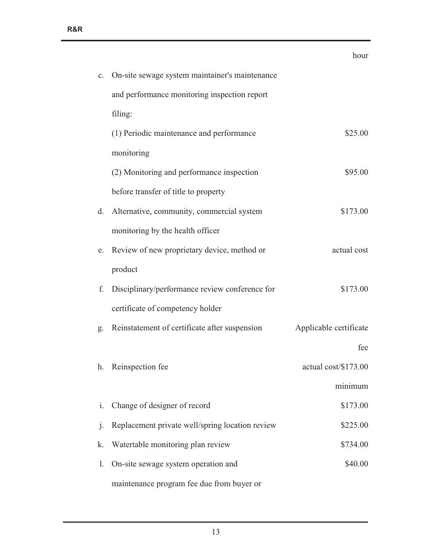|                |                                                 | hour                   |
|----------------|-------------------------------------------------|------------------------|
| $\mathbf{c}.$  | On-site sewage system maintainer's maintenance  |                        |
|                | and performance monitoring inspection report    |                        |
|                | filing:                                         |                        |
|                | (1) Periodic maintenance and performance        | \$25.00                |
|                | monitoring                                      |                        |
|                | (2) Monitoring and performance inspection       | \$95.00                |
|                | before transfer of title to property            |                        |
| d.             | Alternative, community, commercial system       | \$173.00               |
|                | monitoring by the health officer                |                        |
| e.             | Review of new proprietary device, method or     | actual cost            |
|                | product                                         |                        |
| f.             | Disciplinary/performance review conference for  | \$173.00               |
|                | certificate of competency holder                |                        |
| g.             | Reinstatement of certificate after suspension   | Applicable certificate |
|                |                                                 | fee                    |
|                | h. Reinspection fee                             | actual cost/\$173.00   |
|                |                                                 | minimum                |
| i.             | Change of designer of record                    | \$173.00               |
| $\mathbf{j}$ . | Replacement private well/spring location review | \$225.00               |
| k.             | Watertable monitoring plan review               | \$734.00               |
| 1.             | On-site sewage system operation and             | \$40.00                |
|                | maintenance program fee due from buyer or       |                        |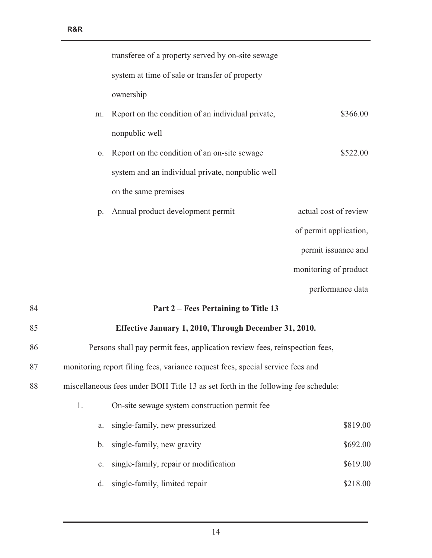| 85 | Effective January 1, 2010, Through December 31, 2010. |                        |
|----|-------------------------------------------------------|------------------------|
| 84 | Part 2 – Fees Pertaining to Title 13                  |                        |
|    |                                                       | performance data       |
|    |                                                       | monitoring of product  |
|    |                                                       | permit issuance and    |
|    |                                                       | of permit application, |
| p. | Annual product development permit                     | actual cost of review  |
|    | on the same premises                                  |                        |
|    | system and an individual private, nonpublic well      |                        |
| 0. | Report on the condition of an on-site sewage          | \$522.00               |
|    | nonpublic well                                        |                        |
| m. | Report on the condition of an individual private,     | \$366.00               |
|    | ownership                                             |                        |
|    | system at time of sale or transfer of property        |                        |
|    | transferee of a property served by on-site sewage     |                        |
|    |                                                       |                        |

86 Persons shall pay permit fees, application review fees, reinspection fees,

- 87 monitoring report filing fees, variance request fees, special service fees and
- 88 miscellaneous fees under BOH Title 13 as set forth in the following fee schedule:

| 1. |         | On-site sewage system construction permit fee. |          |
|----|---------|------------------------------------------------|----------|
|    | a.      | single-family, new pressurized                 | \$819.00 |
|    | $b_{1}$ | single-family, new gravity                     | \$692.00 |
|    |         | c. single-family, repair or modification       | \$619.00 |
|    | d.      | single-family, limited repair                  | \$218.00 |
|    |         |                                                |          |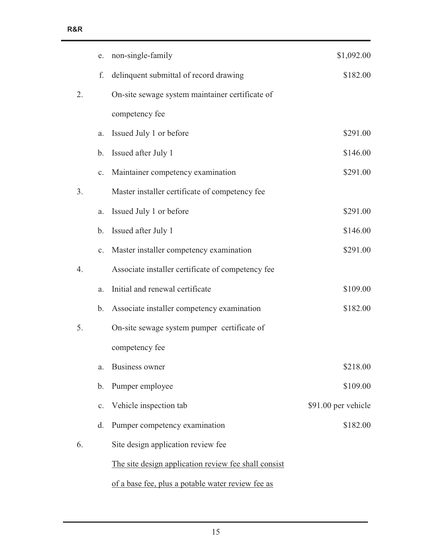|                  | e.             | non-single-family                                    | \$1,092.00          |
|------------------|----------------|------------------------------------------------------|---------------------|
|                  | f.             | delinquent submittal of record drawing               | \$182.00            |
| 2.               |                | On-site sewage system maintainer certificate of      |                     |
|                  |                | competency fee                                       |                     |
|                  | a.             | Issued July 1 or before                              | \$291.00            |
|                  | b.             | Issued after July 1                                  | \$146.00            |
|                  | c.             | Maintainer competency examination                    | \$291.00            |
| 3.               |                | Master installer certificate of competency fee       |                     |
|                  | a.             | Issued July 1 or before                              | \$291.00            |
|                  | b.             | Issued after July 1                                  | \$146.00            |
|                  | $\mathbf{c}$ . | Master installer competency examination              | \$291.00            |
| $\overline{4}$ . |                | Associate installer certificate of competency fee    |                     |
|                  | a.             | Initial and renewal certificate                      | \$109.00            |
|                  | b.             | Associate installer competency examination           | \$182.00            |
| 5.               |                | On-site sewage system pumper certificate of          |                     |
|                  |                | competency fee                                       |                     |
|                  | a.             | Business owner                                       | \$218.00            |
|                  | b.             | Pumper employee                                      | \$109.00            |
|                  | c.             | Vehicle inspection tab                               | \$91.00 per vehicle |
|                  | d.             | Pumper competency examination                        | \$182.00            |
| 6.               |                | Site design application review fee                   |                     |
|                  |                | The site design application review fee shall consist |                     |
|                  |                | of a base fee, plus a potable water review fee as    |                     |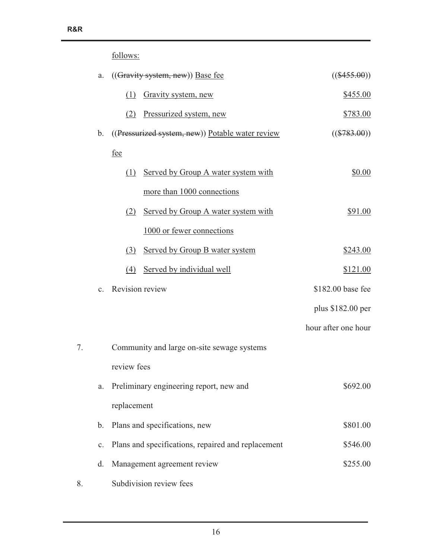## follows:

|    | a.             |                 | $((Gravity system, new))$ Base fee                 | $((\$455.00))$      |
|----|----------------|-----------------|----------------------------------------------------|---------------------|
|    |                | (1)             | Gravity system, new                                | \$455.00            |
|    |                | (2)             | Pressurized system, new                            | \$783.00            |
|    | $\mathbf b$ .  |                 | ((Pressurized system, new)) Potable water review   | $((\$783.00))$      |
|    |                | fee             |                                                    |                     |
|    |                | (1)             | Served by Group A water system with                | \$0.00              |
|    |                |                 | more than 1000 connections                         |                     |
|    |                | (2)             | Served by Group A water system with                | \$91.00             |
|    |                |                 | 1000 or fewer connections                          |                     |
|    |                | (3)             | Served by Group B water system                     | \$243.00            |
|    |                | (4)             | Served by individual well                          | \$121.00            |
|    | $\mathbf{c}$ . | Revision review |                                                    | \$182.00 base fee   |
|    |                |                 |                                                    | plus \$182.00 per   |
|    |                |                 |                                                    | hour after one hour |
| 7. |                |                 | Community and large on-site sewage systems         |                     |
|    |                | review fees     |                                                    |                     |
|    | a.             |                 | Preliminary engineering report, new and            | \$692.00            |
|    |                | replacement     |                                                    |                     |
|    | $\mathbf b$ .  |                 | Plans and specifications, new                      | \$801.00            |
|    | $\mathbf{c}$ . |                 | Plans and specifications, repaired and replacement | \$546.00            |
|    | d.             |                 | Management agreement review                        | \$255.00            |
| 8. |                |                 | Subdivision review fees                            |                     |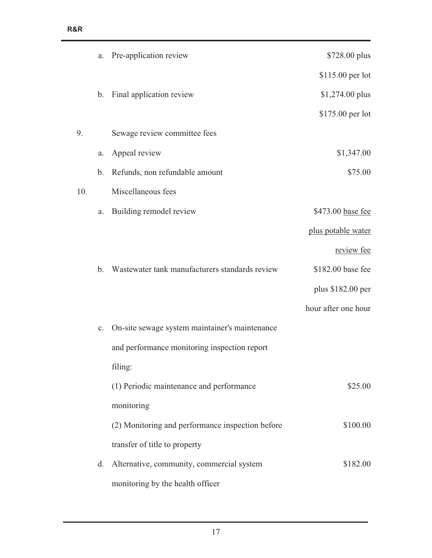|     | a.             | Pre-application review                           | \$728.00 plus       |
|-----|----------------|--------------------------------------------------|---------------------|
|     |                |                                                  | \$115.00 per lot    |
|     | b.             | Final application review                         | \$1,274.00 plus     |
|     |                |                                                  | \$175.00 per lot    |
| 9.  |                | Sewage review committee fees                     |                     |
|     | a.             | Appeal review                                    | \$1,347.00          |
|     | b.             | Refunds, non refundable amount                   | \$75.00             |
| 10. |                | Miscellaneous fees                               |                     |
|     | a.             | Building remodel review                          | \$473.00 base fee   |
|     |                |                                                  | plus potable water  |
|     |                |                                                  | review fee          |
|     | $\mathbf b$ .  | Wastewater tank manufacturers standards review   | \$182.00 base fee   |
|     |                |                                                  | plus \$182.00 per   |
|     |                |                                                  | hour after one hour |
|     | $\mathbf{C}$ . | On-site sewage system maintainer's maintenance   |                     |
|     |                | and performance monitoring inspection report     |                     |
|     |                | filing:                                          |                     |
|     |                | (1) Periodic maintenance and performance         | \$25.00             |
|     |                | monitoring                                       |                     |
|     |                | (2) Monitoring and performance inspection before | \$100.00            |
|     |                | transfer of title to property                    |                     |
|     | d.             | Alternative, community, commercial system        | \$182.00            |
|     |                | monitoring by the health officer                 |                     |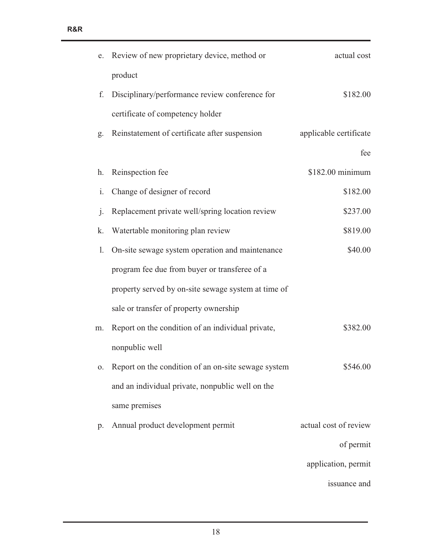| e.             | Review of new proprietary device, method or         | actual cost            |
|----------------|-----------------------------------------------------|------------------------|
|                | product                                             |                        |
| f.             | Disciplinary/performance review conference for      | \$182.00               |
|                | certificate of competency holder                    |                        |
| g.             | Reinstatement of certificate after suspension       | applicable certificate |
|                |                                                     | fee                    |
| h.             | Reinspection fee                                    | \$182.00 minimum       |
| i.             | Change of designer of record                        | \$182.00               |
| $\mathbf{j}$ . | Replacement private well/spring location review     | \$237.00               |
| k.             | Watertable monitoring plan review                   | \$819.00               |
| 1.             | On-site sewage system operation and maintenance     | \$40.00                |
|                | program fee due from buyer or transferee of a       |                        |
|                | property served by on-site sewage system at time of |                        |
|                | sale or transfer of property ownership              |                        |
| m.             | Report on the condition of an individual private,   | \$382.00               |
|                | nonpublic well                                      |                        |
| 0.             | Report on the condition of an on-site sewage system | \$546.00               |
|                | and an individual private, nonpublic well on the    |                        |
|                | same premises                                       |                        |
| p.             | Annual product development permit                   | actual cost of review  |
|                |                                                     | of permit              |
|                |                                                     | application, permit    |
|                |                                                     | issuance and           |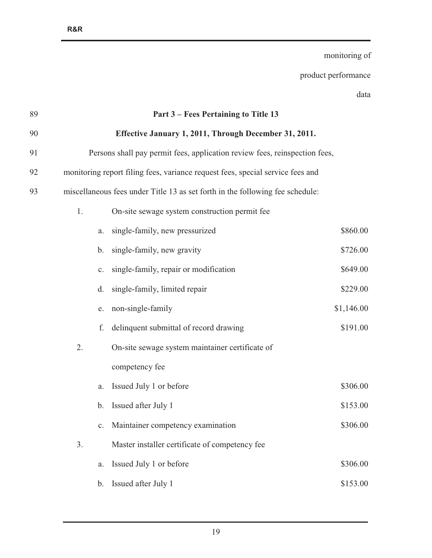data 89 **Part 3 – Fees Pertaining to Title 13**  90 **Effective January 1, 2011, Through December 31, 2011.** 91 Persons shall pay permit fees, application review fees, reinspection fees, 92 monitoring report filing fees, variance request fees, special service fees and 93 miscellaneous fees under Title 13 as set forth in the following fee schedule: 1. On-site sewage system construction permit fee a. single-family, new pressurized  $$860.00$ b. single-family, new gravity  $$726.00$ c. single-family, repair or modification  $$649.00$ d. single-family, limited repair \$229.00 e. non-single-family  $$1,146.00$ f. delinquent submittal of record drawing \$191.00 2. On-site sewage system maintainer certificate of competency fee a. Issued July 1 or before  $$306.00$ b. Issued after July 1  $$153.00$ c. Maintainer competency examination \$306.00 3. Master installer certificate of competency fee a. Issued July 1 or before  $$306.00$ b. Issued after July 1  $$153.00$ 

monitoring of

product performance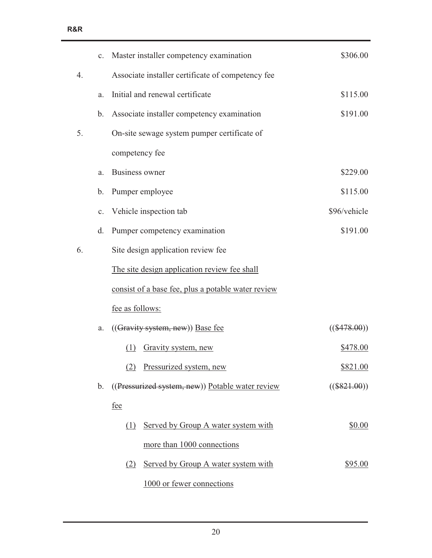|    | c.            | Master installer competency examination            | \$306.00       |
|----|---------------|----------------------------------------------------|----------------|
| 4. |               | Associate installer certificate of competency fee  |                |
|    | a.            | Initial and renewal certificate                    | \$115.00       |
|    | $\mathbf b$ . | Associate installer competency examination         | \$191.00       |
| 5. |               | On-site sewage system pumper certificate of        |                |
|    |               | competency fee                                     |                |
|    | a.            | Business owner                                     | \$229.00       |
|    | b.            | Pumper employee                                    | \$115.00       |
|    | c.            | Vehicle inspection tab                             | \$96/vehicle   |
|    | d.            | Pumper competency examination                      | \$191.00       |
| 6. |               | Site design application review fee                 |                |
|    |               | The site design application review fee shall       |                |
|    |               | consist of a base fee, plus a potable water review |                |
|    |               | fee as follows:                                    |                |
|    | a.            | $((Gravity system, new))$ Base fee                 | $((\$478.00))$ |
|    |               | Gravity system, new<br>(1)                         | \$478.00       |
|    |               | Pressurized system, new<br>(2)                     | \$821.00       |
|    | $\mathbf b$ . | ((Pressurized system, new)) Potable water review   | $((\$821.00))$ |
|    |               | <u>fee</u>                                         |                |
|    |               | Served by Group A water system with<br>(1)         | \$0.00         |
|    |               | more than 1000 connections                         |                |
|    |               | Served by Group A water system with<br>(2)         | \$95.00        |
|    |               | 1000 or fewer connections                          |                |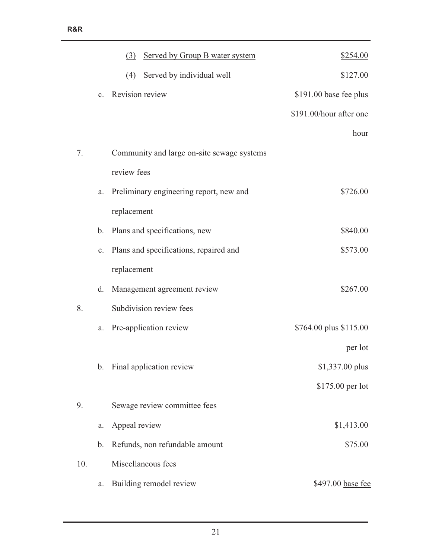|     |                | (3) Served by Group B water system         | \$254.00                |
|-----|----------------|--------------------------------------------|-------------------------|
|     |                | Served by individual well<br>(4)           | \$127.00                |
|     | $\mathbf{c}$ . | Revision review                            | \$191.00 base fee plus  |
|     |                |                                            | \$191.00/hour after one |
|     |                |                                            | hour                    |
| 7.  |                | Community and large on-site sewage systems |                         |
|     |                | review fees                                |                         |
|     | a.             | Preliminary engineering report, new and    | \$726.00                |
|     |                | replacement                                |                         |
|     | $\mathbf{b}$ . | Plans and specifications, new              | \$840.00                |
|     | $\mathbf{c}$ . | Plans and specifications, repaired and     | \$573.00                |
|     |                | replacement                                |                         |
|     | d.             | Management agreement review                | \$267.00                |
| 8.  |                | Subdivision review fees                    |                         |
|     | a.             | Pre-application review                     | \$764.00 plus \$115.00  |
|     |                |                                            | per lot                 |
|     | b.             | Final application review                   | \$1,337.00 plus         |
|     |                |                                            | \$175.00 per lot        |
| 9.  |                | Sewage review committee fees               |                         |
|     | a.             | Appeal review                              | \$1,413.00              |
|     | b.             | Refunds, non refundable amount             | \$75.00                 |
| 10. |                | Miscellaneous fees                         |                         |
|     | a.             | Building remodel review                    | \$497.00 base fee       |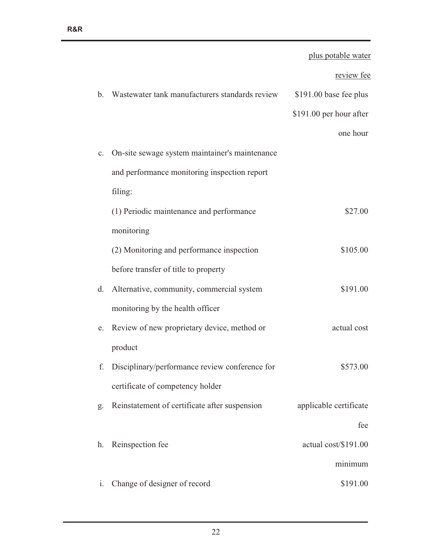|                |                                                | plus potable water      |
|----------------|------------------------------------------------|-------------------------|
|                |                                                | review fee              |
| b.             | Wastewater tank manufacturers standards review | \$191.00 base fee plus  |
|                |                                                | \$191.00 per hour after |
|                |                                                | one hour                |
| $\mathbf{c}$ . | On-site sewage system maintainer's maintenance |                         |
|                | and performance monitoring inspection report   |                         |
|                | filing:                                        |                         |
|                | (1) Periodic maintenance and performance       | \$27.00                 |
|                | monitoring                                     |                         |
|                | (2) Monitoring and performance inspection      | \$105.00                |
|                | before transfer of title to property           |                         |
| d.             | Alternative, community, commercial system      | \$191.00                |
|                | monitoring by the health officer               |                         |
| e.             | Review of new proprietary device, method or    | actual cost             |
|                | product                                        |                         |
|                | Disciplinary/performance review conference for | \$573.00                |
|                | certificate of competency holder               |                         |
| g.             | Reinstatement of certificate after suspension  | applicable certificate  |
|                |                                                | fee                     |
| h.             | Reinspection fee                               | actual cost/\$191.00    |
|                |                                                | minimum                 |
| $\mathbf{i}$ . | Change of designer of record                   | \$191.00                |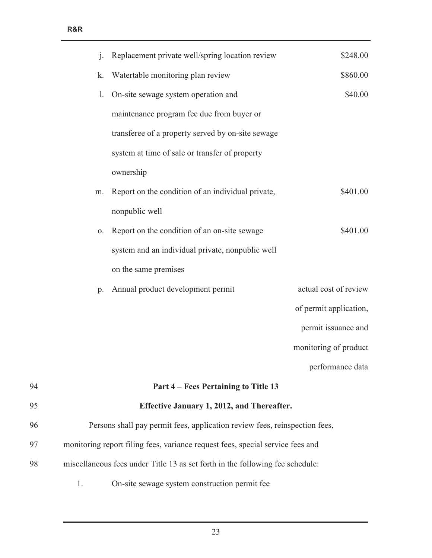|    | $\mathbf{i}$ . | Replacement private well/spring location review                                | \$248.00               |
|----|----------------|--------------------------------------------------------------------------------|------------------------|
|    | k.             | Watertable monitoring plan review                                              | \$860.00               |
|    | 1.             | On-site sewage system operation and                                            | \$40.00                |
|    |                | maintenance program fee due from buyer or                                      |                        |
|    |                | transferee of a property served by on-site sewage                              |                        |
|    |                | system at time of sale or transfer of property                                 |                        |
|    |                | ownership                                                                      |                        |
|    | m.             | Report on the condition of an individual private,                              | \$401.00               |
|    |                | nonpublic well                                                                 |                        |
|    | 0.             | Report on the condition of an on-site sewage                                   | \$401.00               |
|    |                | system and an individual private, nonpublic well                               |                        |
|    |                | on the same premises                                                           |                        |
|    | $p_{\cdot}$    | Annual product development permit                                              | actual cost of review  |
|    |                |                                                                                | of permit application, |
|    |                |                                                                                | permit issuance and    |
|    |                |                                                                                | monitoring of product  |
|    |                |                                                                                | performance data       |
| 94 |                | Part 4 – Fees Pertaining to Title 13                                           |                        |
| 95 |                | Effective January 1, 2012, and Thereafter.                                     |                        |
| 96 |                | Persons shall pay permit fees, application review fees, reinspection fees,     |                        |
| 97 |                | monitoring report filing fees, variance request fees, special service fees and |                        |
| 98 |                | miscellaneous fees under Title 13 as set forth in the following fee schedule:  |                        |
|    | 1.             | On-site sewage system construction permit fee                                  |                        |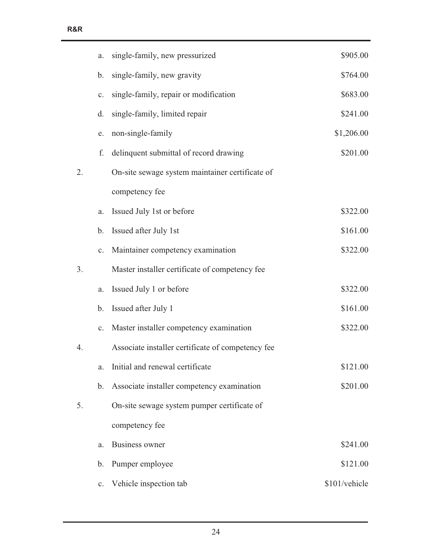|    | a.             | single-family, new pressurized                    | \$905.00      |
|----|----------------|---------------------------------------------------|---------------|
|    | b.             | single-family, new gravity                        | \$764.00      |
|    | $\mathbf{c}$ . | single-family, repair or modification             | \$683.00      |
|    | d.             | single-family, limited repair                     | \$241.00      |
|    | e.             | non-single-family                                 | \$1,206.00    |
|    | f.             | delinquent submittal of record drawing            | \$201.00      |
| 2. |                | On-site sewage system maintainer certificate of   |               |
|    |                | competency fee                                    |               |
|    | a.             | Issued July 1st or before                         | \$322.00      |
|    | $\mathbf b$ .  | Issued after July 1st                             | \$161.00      |
|    | $\mathbf{c}$ . | Maintainer competency examination                 | \$322.00      |
| 3. |                | Master installer certificate of competency fee    |               |
|    | a.             | Issued July 1 or before                           | \$322.00      |
|    | b.             | Issued after July 1                               | \$161.00      |
|    | $\mathbf{c}$ . | Master installer competency examination           | \$322.00      |
| 4. |                | Associate installer certificate of competency fee |               |
|    | a.             | Initial and renewal certificate                   | \$121.00      |
|    | b.             | Associate installer competency examination        | \$201.00      |
| 5. |                | On-site sewage system pumper certificate of       |               |
|    |                | competency fee                                    |               |
|    | a.             | <b>Business owner</b>                             | \$241.00      |
|    | b.             | Pumper employee                                   | \$121.00      |
|    | $\mathbf{c}.$  | Vehicle inspection tab                            | \$101/vehicle |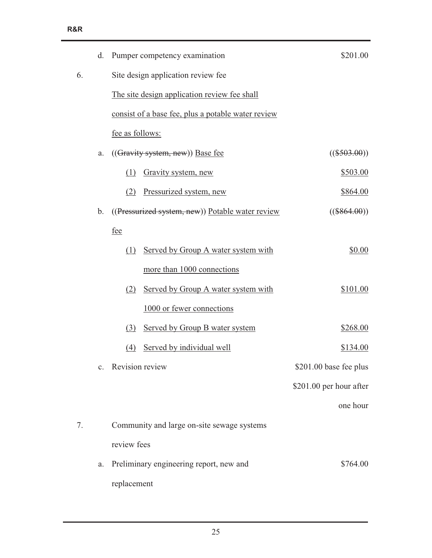|    | d.             | Pumper competency examination                      | \$201.00                |  |
|----|----------------|----------------------------------------------------|-------------------------|--|
| 6. |                | Site design application review fee                 |                         |  |
|    |                | The site design application review fee shall       |                         |  |
|    |                | consist of a base fee, plus a potable water review |                         |  |
|    |                | fee as follows:                                    |                         |  |
|    | a.             | $((Gravity system, new))$ Base fee                 | $((\$503.00))$          |  |
|    |                | Gravity system, new<br>(1)                         | \$503.00                |  |
|    |                | Pressurized system, new<br>(2)                     | \$864.00                |  |
|    | $\mathbf b$ .  | ((Pressurized system, new)) Potable water review   | $((\$864.00))$          |  |
|    |                | fee                                                |                         |  |
|    |                | Served by Group A water system with<br>(1)         | \$0.00                  |  |
|    |                | more than 1000 connections                         |                         |  |
|    |                | Served by Group A water system with<br>(2)         | \$101.00                |  |
|    |                | 1000 or fewer connections                          |                         |  |
|    |                | Served by Group B water system<br>(3)              | \$268.00                |  |
|    |                | Served by individual well<br>(4)                   | \$134.00                |  |
|    | $\mathbf{c}$ . | Revision review                                    | \$201.00 base fee plus  |  |
|    |                |                                                    | \$201.00 per hour after |  |
|    |                |                                                    | one hour                |  |
| 7. |                | Community and large on-site sewage systems         |                         |  |
|    |                | review fees                                        |                         |  |
|    | a.             | Preliminary engineering report, new and            | \$764.00                |  |
|    |                | replacement                                        |                         |  |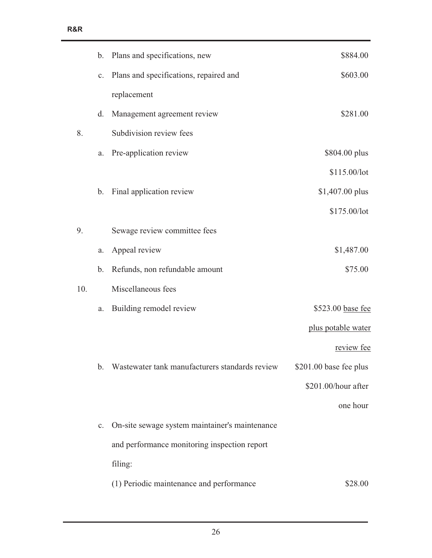|     | b.             | Plans and specifications, new                  | \$884.00               |
|-----|----------------|------------------------------------------------|------------------------|
|     | c.             | Plans and specifications, repaired and         | \$603.00               |
|     |                | replacement                                    |                        |
|     | d.             | Management agreement review                    | \$281.00               |
| 8.  |                | Subdivision review fees                        |                        |
|     | a.             | Pre-application review                         | \$804.00 plus          |
|     |                |                                                | \$115.00/lot           |
|     | b.             | Final application review                       | \$1,407.00 plus        |
|     |                |                                                | \$175.00/lot           |
| 9.  |                | Sewage review committee fees                   |                        |
|     | a.             | Appeal review                                  | \$1,487.00             |
|     | b.             | Refunds, non refundable amount                 | \$75.00                |
| 10. |                | Miscellaneous fees                             |                        |
|     | a.             | Building remodel review                        | \$523.00 base fee      |
|     |                |                                                | plus potable water     |
|     |                |                                                | review fee             |
|     | b.             | Wastewater tank manufacturers standards review | \$201.00 base fee plus |
|     |                |                                                | \$201.00/hour after    |
|     |                |                                                | one hour               |
|     | $\mathbf{C}$ . | On-site sewage system maintainer's maintenance |                        |
|     |                | and performance monitoring inspection report   |                        |
|     |                | filing:                                        |                        |
|     |                | (1) Periodic maintenance and performance       | \$28.00                |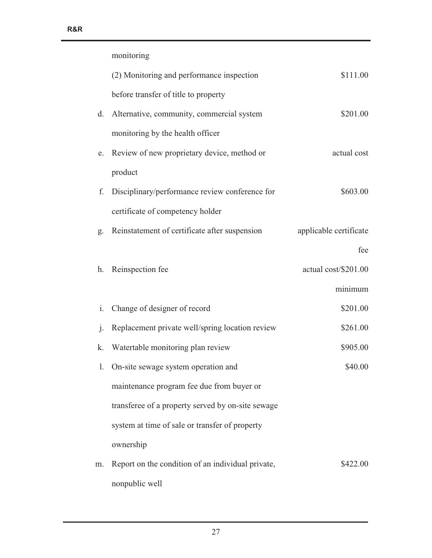|                | monitoring                                        |                        |
|----------------|---------------------------------------------------|------------------------|
|                | (2) Monitoring and performance inspection         | \$111.00               |
|                | before transfer of title to property              |                        |
| d.             | Alternative, community, commercial system         | \$201.00               |
|                | monitoring by the health officer                  |                        |
| e.             | Review of new proprietary device, method or       | actual cost            |
|                | product                                           |                        |
| f.             | Disciplinary/performance review conference for    | \$603.00               |
|                | certificate of competency holder                  |                        |
| g.             | Reinstatement of certificate after suspension     | applicable certificate |
|                |                                                   | fee                    |
| h.             | Reinspection fee                                  | actual cost/\$201.00   |
|                |                                                   | minimum                |
| $\mathbf{i}$ . | Change of designer of record                      | \$201.00               |
| $\mathbf{i}$ . | Replacement private well/spring location review   | \$261.00               |
| k.             | Watertable monitoring plan review                 | \$905.00               |
|                | 1. On-site sewage system operation and            | \$40.00                |
|                | maintenance program fee due from buyer or         |                        |
|                | transferee of a property served by on-site sewage |                        |
|                | system at time of sale or transfer of property    |                        |
|                | ownership                                         |                        |
| m.             | Report on the condition of an individual private, | \$422.00               |
|                | nonpublic well                                    |                        |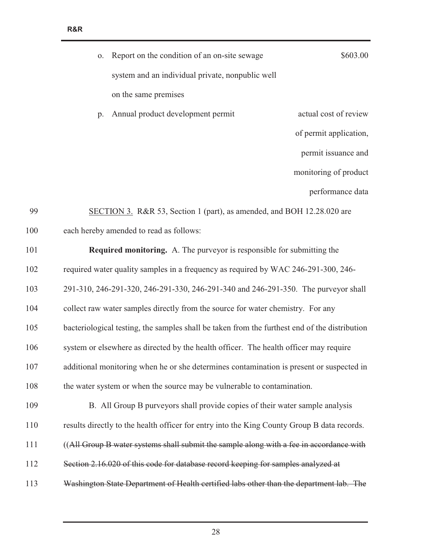| \$603.00               | o. Report on the condition of an on-site sewage                        |    |
|------------------------|------------------------------------------------------------------------|----|
|                        | system and an individual private, nonpublic well                       |    |
|                        | on the same premises                                                   |    |
| actual cost of review  | Annual product development permit                                      | p. |
| of permit application, |                                                                        |    |
| permit issuance and    |                                                                        |    |
| monitoring of product  |                                                                        |    |
| performance data       |                                                                        |    |
|                        | SECTION 3. R&R 53, Section 1 (part), as amended, and BOH 12.28.020 are | 99 |

| 100 |  | each hereby amended to read as follows: |  |  |
|-----|--|-----------------------------------------|--|--|
|-----|--|-----------------------------------------|--|--|

| 101 | <b>Required monitoring.</b> A. The purveyor is responsible for submitting the                 |
|-----|-----------------------------------------------------------------------------------------------|
| 102 | required water quality samples in a frequency as required by WAC 246-291-300, 246-            |
| 103 | 291-310, 246-291-320, 246-291-330, 246-291-340 and 246-291-350. The purveyor shall            |
| 104 | collect raw water samples directly from the source for water chemistry. For any               |
| 105 | bacteriological testing, the samples shall be taken from the furthest end of the distribution |
| 106 | system or elsewhere as directed by the health officer. The health officer may require         |
| 107 | additional monitoring when he or she determines contamination is present or suspected in      |
| 108 | the water system or when the source may be vulnerable to contamination.                       |
| 109 | B. All Group B purveyors shall provide copies of their water sample analysis                  |
| 110 | results directly to the health officer for entry into the King County Group B data records.   |
| 111 | ((All Group B water systems shall submit the sample along with a fee in accordance with       |
| 112 | Section 2.16.020 of this code for database record keeping for samples analyzed at             |
| 113 | Washington State Department of Health certified labs other than the department lab. The       |
|     |                                                                                               |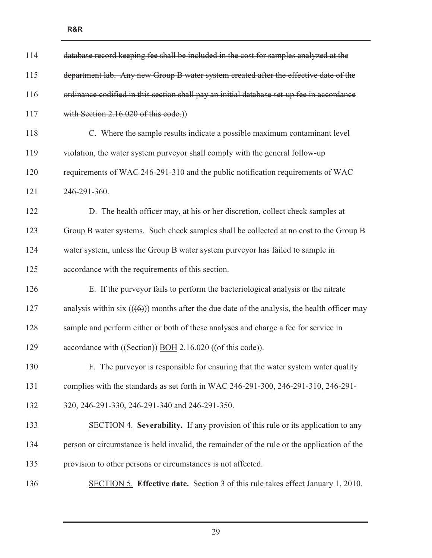| 114 | database record keeping fee shall be included in the cost for samples analyzed at the         |
|-----|-----------------------------------------------------------------------------------------------|
| 115 | department lab. Any new Group B water system created after the effective date of the          |
| 116 | ordinance codified in this section shall pay an initial database set up fee in accordance     |
| 117 | with Section 2.16.020 of this code.)                                                          |
| 118 | C. Where the sample results indicate a possible maximum contaminant level                     |
| 119 | violation, the water system purveyor shall comply with the general follow-up                  |
| 120 | requirements of WAC 246-291-310 and the public notification requirements of WAC               |
| 121 | 246-291-360.                                                                                  |
| 122 | D. The health officer may, at his or her discretion, collect check samples at                 |
| 123 | Group B water systems. Such check samples shall be collected at no cost to the Group B        |
| 124 | water system, unless the Group B water system purveyor has failed to sample in                |
| 125 | accordance with the requirements of this section.                                             |
| 126 | E. If the purveyor fails to perform the bacteriological analysis or the nitrate               |
| 127 | analysis within six $((6))$ months after the due date of the analysis, the health officer may |
| 128 | sample and perform either or both of these analyses and charge a fee for service in           |
| 129 | accordance with ((Section)) BOH 2.16.020 ((of this code)).                                    |
| 130 | F. The purveyor is responsible for ensuring that the water system water quality               |
| 131 | complies with the standards as set forth in WAC 246-291-300, 246-291-310, 246-291-            |
| 132 | 320, 246-291-330, 246-291-340 and 246-291-350.                                                |
| 133 | SECTION 4. Severability. If any provision of this rule or its application to any              |
| 134 | person or circumstance is held invalid, the remainder of the rule or the application of the   |
| 135 | provision to other persons or circumstances is not affected.                                  |
| 136 | SECTION 5. Effective date. Section 3 of this rule takes effect January 1, 2010.               |